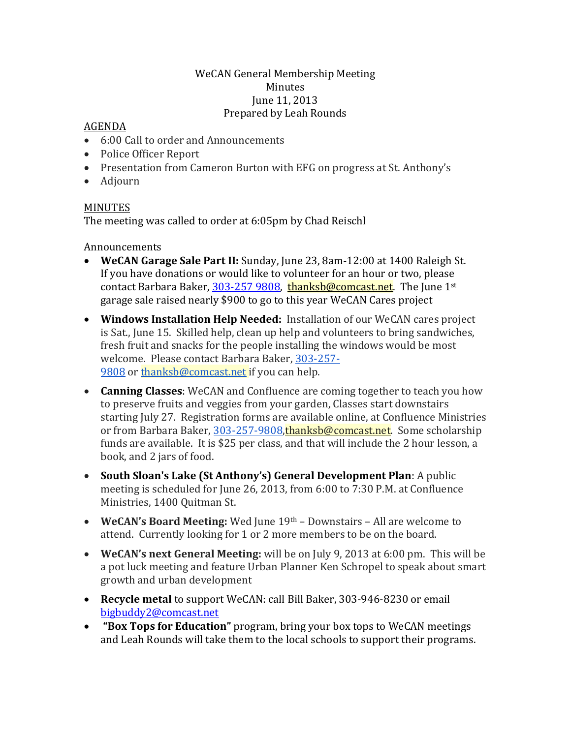## WeCAN General Membership Meeting Minutes June 11, 2013 Prepared by Leah Rounds

## AGENDA

- 6:00 Call to order and Announcements
- Police Officer Report
- Presentation from Cameron Burton with EFG on progress at St. Anthony's
- Adjourn

## MINUTES

The meeting was called to order at 6:05pm by Chad Reischl

Announcements

- **WeCAN Garage Sale Part II:** Sunday, June 23, 8am-12:00 at 1400 Raleigh St. If you have donations or would like to volunteer for an hour or two, please contact Barbara Baker, [303-257 9808,](mailto:303-257%209808) [thanksb@comcast.net.](mailto:thanksb@comcast.net) The June 1<sup>st</sup> garage sale raised nearly \$900 to go to this year WeCAN Cares project
- **Windows Installation Help Needed:** Installation of our WeCAN cares project is Sat., June 15. Skilled help, clean up help and volunteers to bring sandwiches, fresh fruit and snacks for the people installing the windows would be most welcome. Please contact Barbara Baker, [303-257-](tel:303-257-9808) [9808](tel:303-257-9808) or [thanksb@comcast.net](mailto:thanksb@comcast.net) if you can help.
- **Canning Classes**: WeCAN and Confluence are coming together to teach you how to preserve fruits and veggies from your garden, Classes start downstairs starting July 27. Registration forms are available online, at Confluence Ministries or from Barbara Baker, [303-257-9808,](tel:303-257-9808) [thanksb@comcast.net.](mailto:thanksb@comcast.net) Some scholarship funds are available. It is \$25 per class, and that will include the 2 hour lesson, a book, and 2 jars of food.
- **South Sloan's Lake (St Anthony's) General Development Plan**: A public meeting is scheduled for June 26, 2013, from 6:00 to 7:30 P.M. at Confluence Ministries, 1400 Quitman St.
- **WeCAN's Board Meeting:** Wed June 19th Downstairs All are welcome to attend. Currently looking for 1 or 2 more members to be on the board.
- **WeCAN's next General Meeting:** will be on July 9, 2013 at 6:00 pm. This will be a pot luck meeting and feature Urban Planner Ken Schropel to speak about smart growth and urban development
- **Recycle metal** to support WeCAN: call Bill Baker, 303-946-8230 or email [bigbuddy2@comcast.net](mailto:bigbuddy2@comcast.net)
- **"Box Tops for Education"** program, bring your box tops to WeCAN meetings and Leah Rounds will take them to the local schools to support their programs.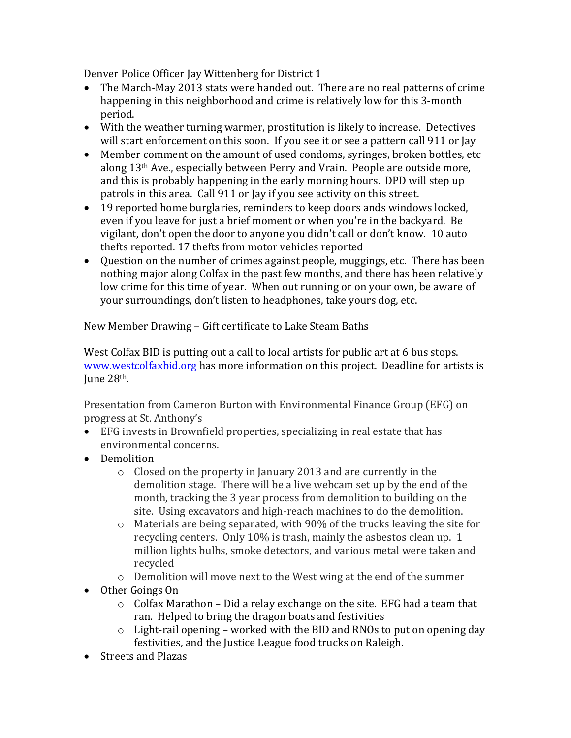Denver Police Officer Jay Wittenberg for District 1

- The March-May 2013 stats were handed out. There are no real patterns of crime happening in this neighborhood and crime is relatively low for this 3-month period.
- With the weather turning warmer, prostitution is likely to increase. Detectives will start enforcement on this soon. If you see it or see a pattern call 911 or Jay
- Member comment on the amount of used condoms, syringes, broken bottles, etc along 13th Ave., especially between Perry and Vrain. People are outside more, and this is probably happening in the early morning hours. DPD will step up patrols in this area. Call 911 or Jay if you see activity on this street.
- 19 reported home burglaries, reminders to keep doors ands windows locked, even if you leave for just a brief moment or when you're in the backyard. Be vigilant, don't open the door to anyone you didn't call or don't know. 10 auto thefts reported. 17 thefts from motor vehicles reported
- Question on the number of crimes against people, muggings, etc. There has been nothing major along Colfax in the past few months, and there has been relatively low crime for this time of year. When out running or on your own, be aware of your surroundings, don't listen to headphones, take yours dog, etc.

New Member Drawing – Gift certificate to Lake Steam Baths

West Colfax BID is putting out a call to local artists for public art at 6 bus stops. [www.westcolfaxbid.org](http://www.westcolfaxbid.org/) has more information on this project. Deadline for artists is June 28th.

Presentation from Cameron Burton with Environmental Finance Group (EFG) on progress at St. Anthony's

- EFG invests in Brownfield properties, specializing in real estate that has environmental concerns.
- Demolition
	- o Closed on the property in January 2013 and are currently in the demolition stage. There will be a live webcam set up by the end of the month, tracking the 3 year process from demolition to building on the site. Using excavators and high-reach machines to do the demolition.
	- o Materials are being separated, with 90% of the trucks leaving the site for recycling centers. Only 10% is trash, mainly the asbestos clean up. 1 million lights bulbs, smoke detectors, and various metal were taken and recycled
	- o Demolition will move next to the West wing at the end of the summer
- Other Goings On
	- $\circ$  Colfax Marathon Did a relay exchange on the site. EFG had a team that ran. Helped to bring the dragon boats and festivities
	- o Light-rail opening worked with the BID and RNOs to put on opening day festivities, and the Justice League food trucks on Raleigh.
- Streets and Plazas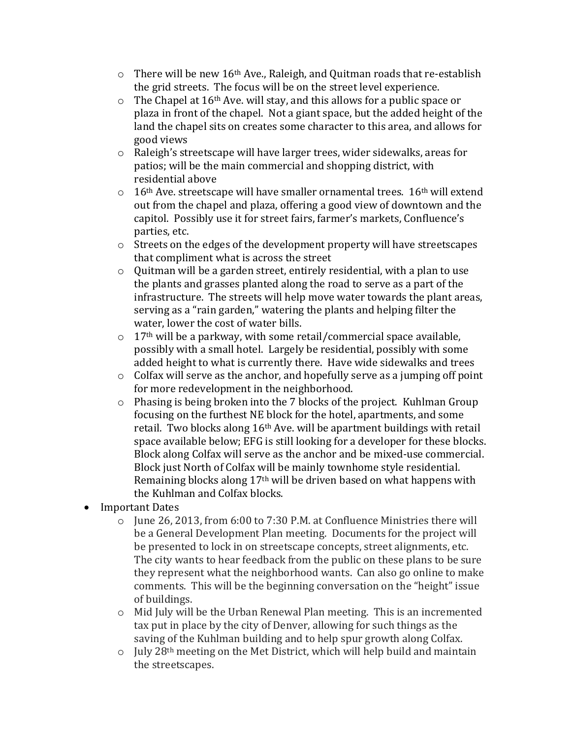- $\circ$  There will be new 16<sup>th</sup> Ave., Raleigh, and Quitman roads that re-establish the grid streets. The focus will be on the street level experience.
- $\circ$  The Chapel at 16<sup>th</sup> Ave. will stay, and this allows for a public space or plaza in front of the chapel. Not a giant space, but the added height of the land the chapel sits on creates some character to this area, and allows for good views
- o Raleigh's streetscape will have larger trees, wider sidewalks, areas for patios; will be the main commercial and shopping district, with residential above
- $\circ$  16<sup>th</sup> Ave. streetscape will have smaller ornamental trees. 16<sup>th</sup> will extend out from the chapel and plaza, offering a good view of downtown and the capitol. Possibly use it for street fairs, farmer's markets, Confluence's parties, etc.
- o Streets on the edges of the development property will have streetscapes that compliment what is across the street
- o Quitman will be a garden street, entirely residential, with a plan to use the plants and grasses planted along the road to serve as a part of the infrastructure. The streets will help move water towards the plant areas, serving as a "rain garden," watering the plants and helping filter the water, lower the cost of water bills.
- $\circ$  17<sup>th</sup> will be a parkway, with some retail/commercial space available, possibly with a small hotel. Largely be residential, possibly with some added height to what is currently there. Have wide sidewalks and trees
- $\circ$  Colfax will serve as the anchor, and hopefully serve as a jumping off point for more redevelopment in the neighborhood.
- o Phasing is being broken into the 7 blocks of the project. Kuhlman Group focusing on the furthest NE block for the hotel, apartments, and some retail. Two blocks along 16th Ave. will be apartment buildings with retail space available below; EFG is still looking for a developer for these blocks. Block along Colfax will serve as the anchor and be mixed-use commercial. Block just North of Colfax will be mainly townhome style residential. Remaining blocks along 17th will be driven based on what happens with the Kuhlman and Colfax blocks.
- Important Dates
	- o June 26, 2013, from 6:00 to 7:30 P.M. at Confluence Ministries there will be a General Development Plan meeting. Documents for the project will be presented to lock in on streetscape concepts, street alignments, etc. The city wants to hear feedback from the public on these plans to be sure they represent what the neighborhood wants. Can also go online to make comments. This will be the beginning conversation on the "height" issue of buildings.
	- o Mid July will be the Urban Renewal Plan meeting. This is an incremented tax put in place by the city of Denver, allowing for such things as the saving of the Kuhlman building and to help spur growth along Colfax.
	- $\circ$  July 28<sup>th</sup> meeting on the Met District, which will help build and maintain the streetscapes.